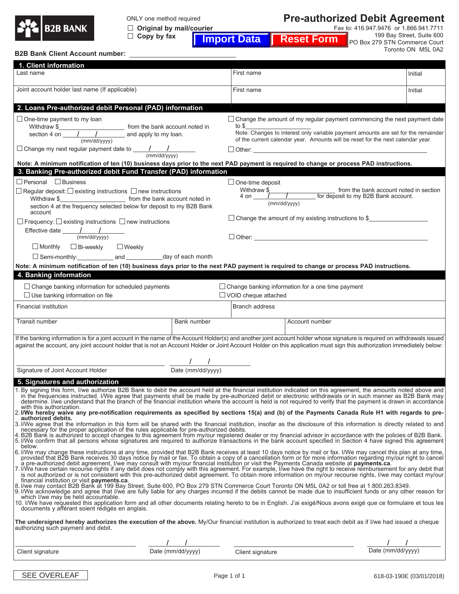

ONLY one method required

 **Original by mail/courier Copy by fax**

**Pre-authorized Debit Agreement**

Fax to: 416.947.9476 or 1.866.941.7711 199 Bay Street, Suite 600 **Import Data Reset Form** 

PO Box 279 STN Commerce Court Toronto ON M5L 0A2

| <b>B2B Bank Client Account number:</b>                                                                                                                                                                                                                                                                                                                                                                                                                                                                                                                                                                                                                                                                                                                                                                                                                                    |                   |                             |                                                                                                                                                                                                                                                                          |         |  |  |
|---------------------------------------------------------------------------------------------------------------------------------------------------------------------------------------------------------------------------------------------------------------------------------------------------------------------------------------------------------------------------------------------------------------------------------------------------------------------------------------------------------------------------------------------------------------------------------------------------------------------------------------------------------------------------------------------------------------------------------------------------------------------------------------------------------------------------------------------------------------------------|-------------------|-----------------------------|--------------------------------------------------------------------------------------------------------------------------------------------------------------------------------------------------------------------------------------------------------------------------|---------|--|--|
| 1. Client information                                                                                                                                                                                                                                                                                                                                                                                                                                                                                                                                                                                                                                                                                                                                                                                                                                                     |                   |                             |                                                                                                                                                                                                                                                                          |         |  |  |
| Last name                                                                                                                                                                                                                                                                                                                                                                                                                                                                                                                                                                                                                                                                                                                                                                                                                                                                 |                   | First name                  |                                                                                                                                                                                                                                                                          | Initial |  |  |
| Joint account holder last name (If applicable)                                                                                                                                                                                                                                                                                                                                                                                                                                                                                                                                                                                                                                                                                                                                                                                                                            |                   | First name                  |                                                                                                                                                                                                                                                                          | Initial |  |  |
| 2. Loans Pre-authorized debit Personal (PAD) information                                                                                                                                                                                                                                                                                                                                                                                                                                                                                                                                                                                                                                                                                                                                                                                                                  |                   |                             |                                                                                                                                                                                                                                                                          |         |  |  |
| $\Box$ One-time payment to my loan                                                                                                                                                                                                                                                                                                                                                                                                                                                                                                                                                                                                                                                                                                                                                                                                                                        |                   | to \$                       | $\Box$ Change the amount of my regular payment commencing the next payment date<br>Note: Changes to interest only variable payment amounts are set for the remainder<br>of the current calendar year. Amounts will be reset for the next calendar year.<br>$\Box$ Other: |         |  |  |
| Note: A minimum notification of ten (10) business days prior to the next PAD payment is required to change or process PAD instructions.<br>3. Banking Pre-authorized debit Fund Transfer (PAD) information                                                                                                                                                                                                                                                                                                                                                                                                                                                                                                                                                                                                                                                                |                   |                             |                                                                                                                                                                                                                                                                          |         |  |  |
| $\Box$ Personal $\Box$ Business                                                                                                                                                                                                                                                                                                                                                                                                                                                                                                                                                                                                                                                                                                                                                                                                                                           |                   | $\Box$ One-time deposit     |                                                                                                                                                                                                                                                                          |         |  |  |
| $\Box$ Regular deposit: $\Box$ existing instructions $\Box$ new instructions<br>section 4 at the frequency selected below for deposit to my B2B Bank<br>account                                                                                                                                                                                                                                                                                                                                                                                                                                                                                                                                                                                                                                                                                                           |                   |                             | from the bank account noted in section<br>(mm/dd/yyyy)                                                                                                                                                                                                                   |         |  |  |
| $\Box$ Frequency: $\Box$ existing instructions $\Box$ new instructions                                                                                                                                                                                                                                                                                                                                                                                                                                                                                                                                                                                                                                                                                                                                                                                                    |                   |                             | $\Box$ Change the amount of my existing instructions to \$                                                                                                                                                                                                               |         |  |  |
| Effective date $\frac{1}{(mm/dd/yyyy)}$                                                                                                                                                                                                                                                                                                                                                                                                                                                                                                                                                                                                                                                                                                                                                                                                                                   |                   |                             | $\Box$ Other:                                                                                                                                                                                                                                                            |         |  |  |
| $\square$ Bi-weekly<br>$\Box$ Monthly<br>$\Box$ Weekly                                                                                                                                                                                                                                                                                                                                                                                                                                                                                                                                                                                                                                                                                                                                                                                                                    |                   |                             |                                                                                                                                                                                                                                                                          |         |  |  |
|                                                                                                                                                                                                                                                                                                                                                                                                                                                                                                                                                                                                                                                                                                                                                                                                                                                                           |                   |                             |                                                                                                                                                                                                                                                                          |         |  |  |
| Note: A minimum notification of ten (10) business days prior to the next PAD payment is required to change or process PAD instructions.                                                                                                                                                                                                                                                                                                                                                                                                                                                                                                                                                                                                                                                                                                                                   |                   |                             |                                                                                                                                                                                                                                                                          |         |  |  |
| 4. Banking information                                                                                                                                                                                                                                                                                                                                                                                                                                                                                                                                                                                                                                                                                                                                                                                                                                                    |                   |                             |                                                                                                                                                                                                                                                                          |         |  |  |
| $\Box$ Change banking information for scheduled payments<br>$\Box$ Use banking information on file                                                                                                                                                                                                                                                                                                                                                                                                                                                                                                                                                                                                                                                                                                                                                                        |                   | $\Box$ VOID cheque attached | $\Box$ Change banking information for a one time payment                                                                                                                                                                                                                 |         |  |  |
| Financial institution                                                                                                                                                                                                                                                                                                                                                                                                                                                                                                                                                                                                                                                                                                                                                                                                                                                     |                   | Branch address              |                                                                                                                                                                                                                                                                          |         |  |  |
| Transit number                                                                                                                                                                                                                                                                                                                                                                                                                                                                                                                                                                                                                                                                                                                                                                                                                                                            | Bank number       |                             | Account number                                                                                                                                                                                                                                                           |         |  |  |
| If the banking information is for a joint account in the name of the Account Holder(s) and another joint account holder whose signature is required on withdrawals issued<br>against the account, any joint account holder that is not an Account Holder or Joint Account Holder on this application must sign this authorization immediately below:                                                                                                                                                                                                                                                                                                                                                                                                                                                                                                                      |                   |                             |                                                                                                                                                                                                                                                                          |         |  |  |
| Signature of Joint Account Holder                                                                                                                                                                                                                                                                                                                                                                                                                                                                                                                                                                                                                                                                                                                                                                                                                                         | Date (mm/dd/yyyy) |                             |                                                                                                                                                                                                                                                                          |         |  |  |
| 5. Signatures and authorization                                                                                                                                                                                                                                                                                                                                                                                                                                                                                                                                                                                                                                                                                                                                                                                                                                           |                   |                             |                                                                                                                                                                                                                                                                          |         |  |  |
| 1. By signing this form, I/we authorize B2B Bank to debit the account held at the financial institution indicated on this agreement, the amounts noted above and<br>in the frequencies instructed. I/We agree that payments shall be made by pre-authorized debit or electronic withdrawals or in such manner as B2B Bank may<br>determine. I/we understand that the branch of the financial institution where the account is held is not required to verify that the payment is drawn in accordance<br>with this authorization.                                                                                                                                                                                                                                                                                                                                          |                   |                             |                                                                                                                                                                                                                                                                          |         |  |  |
| 2. I/We hereby waive any pre-notification requirements as specified by sections 15(a) and (b) of the Payments Canada Rule H1 with regards to pre-<br>authorized debits.                                                                                                                                                                                                                                                                                                                                                                                                                                                                                                                                                                                                                                                                                                   |                   |                             |                                                                                                                                                                                                                                                                          |         |  |  |
| 3. I/We agree that the information in this form will be shared with the financial institution, insofar as the disclosure of this information is directly related to and<br>necessary for the proper application of the rules applicable for pre-authorized debits.<br>4. B2B Bank is authorized to accept changes to this agreement from my/our registered dealer or my financial advisor in accordance with the policies of B2B Bank.<br>5. I/We confirm that all persons whose signatures are require<br>below.                                                                                                                                                                                                                                                                                                                                                         |                   |                             |                                                                                                                                                                                                                                                                          |         |  |  |
| 6. I/We may change these instructions at any time, provided that B2B Bank receives at least 10 days notice by mail or fax. I/We may cancel this plan at any time,<br>provided that B2B Bank receives 30 days notice by mail or fax. To obtain a copy of a cancellation form or for more information regarding my/our right to cancel<br>a pre-authorized debit agreement, I/we may consult with my/our financial institution or visit the Payments Canada website at payments.ca.<br>7. I/We have certain recourse rights if any debit does not comply with this agreement. For example, I/we have the right to receive reimbursement for any debit that<br>is not authorized or is not consistent with this pre-authorized debit agreement. To obtain more information on my/our recourse rights, I/we may confact my/our<br>financial institution or visit payments.ca. |                   |                             |                                                                                                                                                                                                                                                                          |         |  |  |
| 8. I/we may contact B2B Bank at 199 Bay Street, Suite 600, PO Box 279 STN Commerce Court Toronto ON M5L 0A2 or toll free at 1.800.263.8349.<br>9. I/We acknowledge and agree that I/we are fully liable for any charges incurred if the debits cannot be made due to insufficient funds or any other reason for<br>which I/we may be held accountable.<br>10. I/We have requested this application form and all other documents relating hereto to be in English. J'ai exigé/Nous avons exigé que ce formulaire et tous les                                                                                                                                                                                                                                                                                                                                               |                   |                             |                                                                                                                                                                                                                                                                          |         |  |  |
| documents y afférant soient rédigés en anglais.<br>The undersigned hereby authorizes the execution of the above. My/Our financial institution is authorized to treat each debit as if I/we had issued a cheque                                                                                                                                                                                                                                                                                                                                                                                                                                                                                                                                                                                                                                                            |                   |                             |                                                                                                                                                                                                                                                                          |         |  |  |
| authorizing such payment and debit.                                                                                                                                                                                                                                                                                                                                                                                                                                                                                                                                                                                                                                                                                                                                                                                                                                       |                   |                             |                                                                                                                                                                                                                                                                          |         |  |  |
| Client signature                                                                                                                                                                                                                                                                                                                                                                                                                                                                                                                                                                                                                                                                                                                                                                                                                                                          | Date (mm/dd/yyyy) | Client signature            | Date (mm/dd/yyyy)                                                                                                                                                                                                                                                        |         |  |  |
|                                                                                                                                                                                                                                                                                                                                                                                                                                                                                                                                                                                                                                                                                                                                                                                                                                                                           |                   |                             |                                                                                                                                                                                                                                                                          |         |  |  |